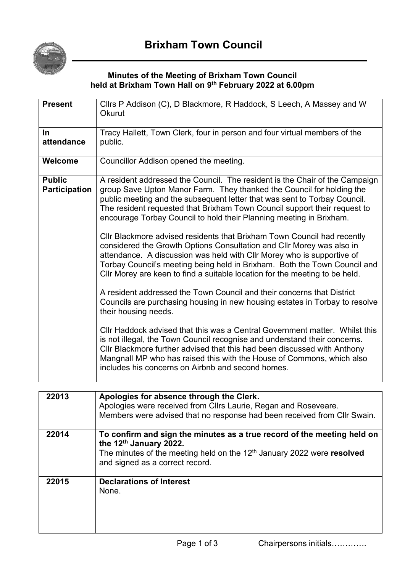

## **Minutes of the Meeting of Brixham Town Council held at Brixham Town Hall on 9 th February 2022 at 6.00pm**

| <b>Present</b>       | Cllrs P Addison (C), D Blackmore, R Haddock, S Leech, A Massey and W                                                                                                                                                                                                                                                                                                                   |
|----------------------|----------------------------------------------------------------------------------------------------------------------------------------------------------------------------------------------------------------------------------------------------------------------------------------------------------------------------------------------------------------------------------------|
|                      | <b>Okurut</b>                                                                                                                                                                                                                                                                                                                                                                          |
| $\ln$                | Tracy Hallett, Town Clerk, four in person and four virtual members of the                                                                                                                                                                                                                                                                                                              |
| attendance           | public.                                                                                                                                                                                                                                                                                                                                                                                |
| Welcome              | Councillor Addison opened the meeting.                                                                                                                                                                                                                                                                                                                                                 |
| <b>Public</b>        | A resident addressed the Council. The resident is the Chair of the Campaign                                                                                                                                                                                                                                                                                                            |
| <b>Participation</b> | group Save Upton Manor Farm. They thanked the Council for holding the<br>public meeting and the subsequent letter that was sent to Torbay Council.<br>The resident requested that Brixham Town Council support their request to<br>encourage Torbay Council to hold their Planning meeting in Brixham.                                                                                 |
|                      | Cllr Blackmore advised residents that Brixham Town Council had recently<br>considered the Growth Options Consultation and CIIr Morey was also in<br>attendance. A discussion was held with Cllr Morey who is supportive of<br>Torbay Council's meeting being held in Brixham. Both the Town Council and<br>CIIr Morey are keen to find a suitable location for the meeting to be held. |
|                      | A resident addressed the Town Council and their concerns that District<br>Councils are purchasing housing in new housing estates in Torbay to resolve<br>their housing needs.                                                                                                                                                                                                          |
|                      | CIIr Haddock advised that this was a Central Government matter. Whilst this<br>is not illegal, the Town Council recognise and understand their concerns.<br>CIIr Blackmore further advised that this had been discussed with Anthony<br>Mangnall MP who has raised this with the House of Commons, which also<br>includes his concerns on Airbnb and second homes.                     |
|                      |                                                                                                                                                                                                                                                                                                                                                                                        |
| 22013                | Apologies for absence through the Clerk.<br>Apologies were received from Cllrs Laurie, Regan and Roseveare.<br>Members were advised that no response had been received from Cllr Swain.                                                                                                                                                                                                |
| 22014                | To confirm and sign the minutes as a true record of the meeting held on                                                                                                                                                                                                                                                                                                                |
|                      | the 12th January 2022.<br>The minutes of the meeting held on the $12th$ January 2022 were resolved<br>and signed as a correct record.                                                                                                                                                                                                                                                  |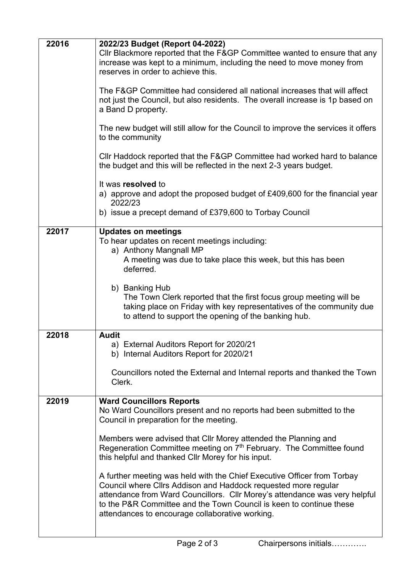| 22016 | 2022/23 Budget (Report 04-2022)                                                                                                                                                                                                                                                                                                                   |
|-------|---------------------------------------------------------------------------------------------------------------------------------------------------------------------------------------------------------------------------------------------------------------------------------------------------------------------------------------------------|
|       | Cllr Blackmore reported that the F&GP Committee wanted to ensure that any<br>increase was kept to a minimum, including the need to move money from<br>reserves in order to achieve this.                                                                                                                                                          |
|       | The F&GP Committee had considered all national increases that will affect<br>not just the Council, but also residents. The overall increase is 1p based on<br>a Band D property.                                                                                                                                                                  |
|       | The new budget will still allow for the Council to improve the services it offers<br>to the community                                                                                                                                                                                                                                             |
|       | Cllr Haddock reported that the F&GP Committee had worked hard to balance<br>the budget and this will be reflected in the next 2-3 years budget.                                                                                                                                                                                                   |
|       | It was resolved to<br>a) approve and adopt the proposed budget of £409,600 for the financial year<br>2022/23                                                                                                                                                                                                                                      |
|       | b) issue a precept demand of £379,600 to Torbay Council                                                                                                                                                                                                                                                                                           |
| 22017 | <b>Updates on meetings</b><br>To hear updates on recent meetings including:<br>a) Anthony Mangnall MP                                                                                                                                                                                                                                             |
|       | A meeting was due to take place this week, but this has been<br>deferred.                                                                                                                                                                                                                                                                         |
|       | b) Banking Hub<br>The Town Clerk reported that the first focus group meeting will be<br>taking place on Friday with key representatives of the community due<br>to attend to support the opening of the banking hub.                                                                                                                              |
| 22018 | <b>Audit</b>                                                                                                                                                                                                                                                                                                                                      |
|       | a) External Auditors Report for 2020/21<br>b) Internal Auditors Report for 2020/21                                                                                                                                                                                                                                                                |
|       | Councillors noted the External and Internal reports and thanked the Town<br>Clerk.                                                                                                                                                                                                                                                                |
| 22019 | <b>Ward Councillors Reports</b><br>No Ward Councillors present and no reports had been submitted to the<br>Council in preparation for the meeting.                                                                                                                                                                                                |
|       | Members were advised that CIIr Morey attended the Planning and<br>Regeneration Committee meeting on 7 <sup>th</sup> February. The Committee found<br>this helpful and thanked Cllr Morey for his input.                                                                                                                                           |
|       | A further meeting was held with the Chief Executive Officer from Torbay<br>Council where Cllrs Addison and Haddock requested more regular<br>attendance from Ward Councillors. Cllr Morey's attendance was very helpful<br>to the P&R Committee and the Town Council is keen to continue these<br>attendances to encourage collaborative working. |